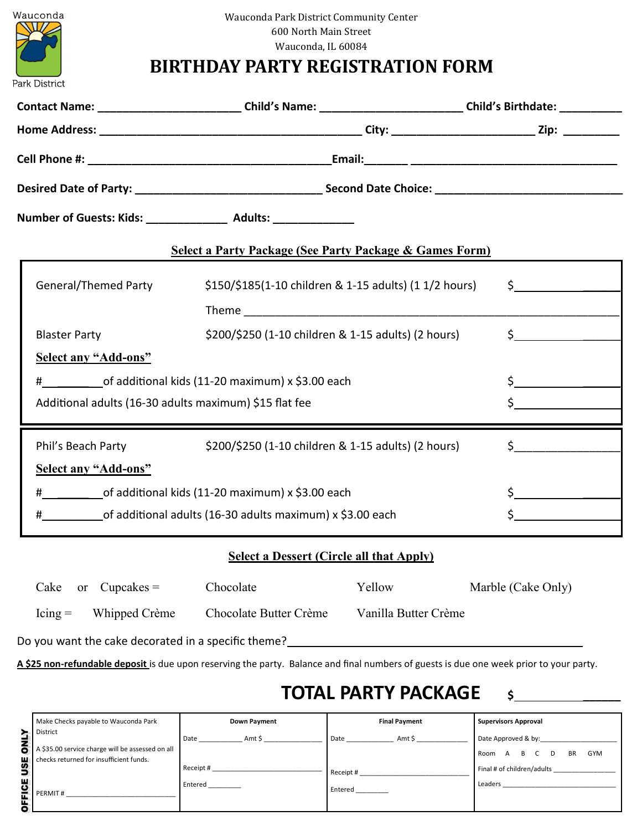

# **BIRTHDAY PARTY REGISTRATION FORM**

|                                                                    | Contact Name: __________________________Child's Name: __________________________Child's Birthdate: ___________ |                       |  |  |  |  |  |  |
|--------------------------------------------------------------------|----------------------------------------------------------------------------------------------------------------|-----------------------|--|--|--|--|--|--|
|                                                                    |                                                                                                                |                       |  |  |  |  |  |  |
|                                                                    |                                                                                                                |                       |  |  |  |  |  |  |
|                                                                    |                                                                                                                |                       |  |  |  |  |  |  |
|                                                                    |                                                                                                                |                       |  |  |  |  |  |  |
| <b>Select a Party Package (See Party Package &amp; Games Form)</b> |                                                                                                                |                       |  |  |  |  |  |  |
| General/Themed Party                                               | \$150/\$185(1-10 children & 1-15 adults) (1 1/2 hours)                                                         |                       |  |  |  |  |  |  |
|                                                                    |                                                                                                                |                       |  |  |  |  |  |  |
| <b>Blaster Party</b>                                               | \$200/\$250 (1-10 children & 1-15 adults) (2 hours)                                                            | $\sharp$ and $\sharp$ |  |  |  |  |  |  |
| Select any "Add-ons"                                               |                                                                                                                |                       |  |  |  |  |  |  |
|                                                                    | $\frac{1}{2}$                                                                                                  |                       |  |  |  |  |  |  |
| Additional adults (16-30 adults maximum) \$15 flat fee             |                                                                                                                |                       |  |  |  |  |  |  |
| Phil's Beach Party                                                 | \$200/\$250 (1-10 children & 1-15 adults) (2 hours)                                                            | $\sharp$              |  |  |  |  |  |  |
| Select any "Add-ons"                                               |                                                                                                                |                       |  |  |  |  |  |  |
|                                                                    | $\zeta$ and $\zeta$                                                                                            |                       |  |  |  |  |  |  |
| of additional adults (16-30 adults maximum) x \$3.00 each<br>#     |                                                                                                                |                       |  |  |  |  |  |  |

# **Select a Dessert (Circle all that Apply)**

|  | Cake or Cupcakes $=$ | Chocolate | Yellow | Marble (Cake Only) |
|--|----------------------|-----------|--------|--------------------|
|  |                      |           |        |                    |

Icing = Whipped Crème Chocolate Butter Crème Vanilla Butter Crème

Do you want the cake decorated in a specific theme?

**A \$25 non-refundable deposit** is due upon reserving the party. Balance and final numbers of guests is due one week prior to your party.

# **TOTAL PARTY PACKAGE**

|      | Make Checks payable to Wauconda Park                    | <b>Down Payment</b> | <b>Final Payment</b> | <b>Supervisors Approval</b>          |
|------|---------------------------------------------------------|---------------------|----------------------|--------------------------------------|
|      | $\blacktriangleright$ District                          | Amt \$<br>Date      | Amt \$<br>Date       | Date Approved & by:                  |
|      | A \$35.00 service charge will be assessed on all        |                     |                      | GYM<br><b>BR</b><br>Room<br>B C<br>A |
|      | the checks returned for insufficient funds.<br><b>S</b> | Receipt #           | Receipt #            | Final # of children/adults           |
| FICE |                                                         | Entered             | Entered              | Leaders                              |
| 농    | PERMIT#                                                 |                     |                      |                                      |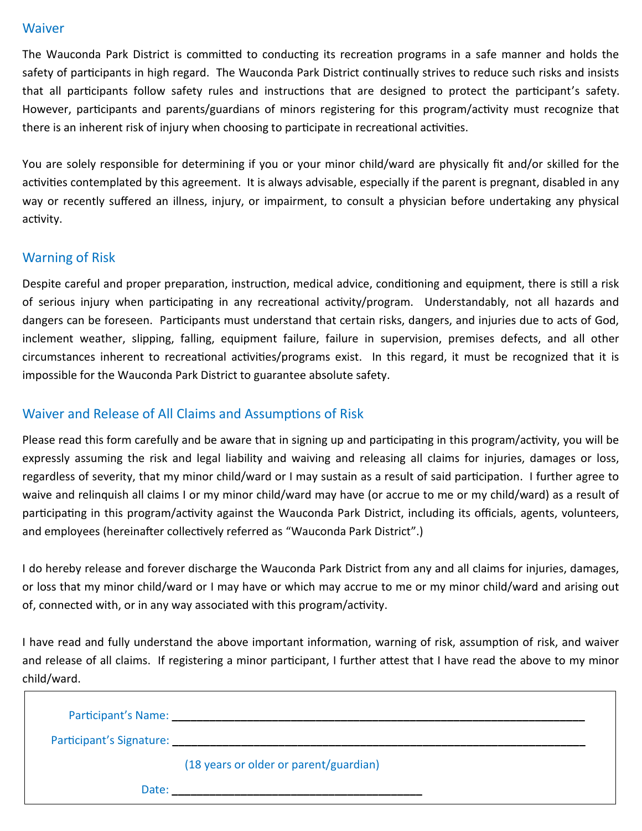### **Waiver**

The Wauconda Park District is committed to conducting its recreation programs in a safe manner and holds the safety of participants in high regard. The Wauconda Park District continually strives to reduce such risks and insists that all participants follow safety rules and instructions that are designed to protect the participant's safety. However, participants and parents/guardians of minors registering for this program/activity must recognize that there is an inherent risk of injury when choosing to participate in recreational activities.

You are solely responsible for determining if you or your minor child/ward are physically fit and/or skilled for the activities contemplated by this agreement. It is always advisable, especially if the parent is pregnant, disabled in any way or recently suffered an illness, injury, or impairment, to consult a physician before undertaking any physical activity.

### Warning of Risk

Despite careful and proper preparation, instruction, medical advice, conditioning and equipment, there is still a risk of serious injury when participating in any recreational activity/program. Understandably, not all hazards and dangers can be foreseen. Participants must understand that certain risks, dangers, and injuries due to acts of God, inclement weather, slipping, falling, equipment failure, failure in supervision, premises defects, and all other circumstances inherent to recreational activities/programs exist. In this regard, it must be recognized that it is impossible for the Wauconda Park District to guarantee absolute safety.

## Waiver and Release of All Claims and Assumptions of Risk

Please read this form carefully and be aware that in signing up and participating in this program/activity, you will be expressly assuming the risk and legal liability and waiving and releasing all claims for injuries, damages or loss, regardless of severity, that my minor child/ward or I may sustain as a result of said participation. I further agree to waive and relinquish all claims I or my minor child/ward may have (or accrue to me or my child/ward) as a result of participating in this program/activity against the Wauconda Park District, including its officials, agents, volunteers, and employees (hereinafter collectively referred as "Wauconda Park District".)

I do hereby release and forever discharge the Wauconda Park District from any and all claims for injuries, damages, or loss that my minor child/ward or I may have or which may accrue to me or my minor child/ward and arising out of, connected with, or in any way associated with this program/activity.

I have read and fully understand the above important information, warning of risk, assumption of risk, and waiver and release of all claims. If registering a minor participant, I further attest that I have read the above to my minor child/ward.

Participant's Name: **Manual** 

Participant's Signature:

#### (18 years or older or parent/guardian)

Date: **\_\_\_\_\_\_\_\_\_\_\_\_\_\_\_\_\_\_\_\_\_\_\_\_\_\_\_\_\_\_\_\_\_\_\_\_\_\_\_\_**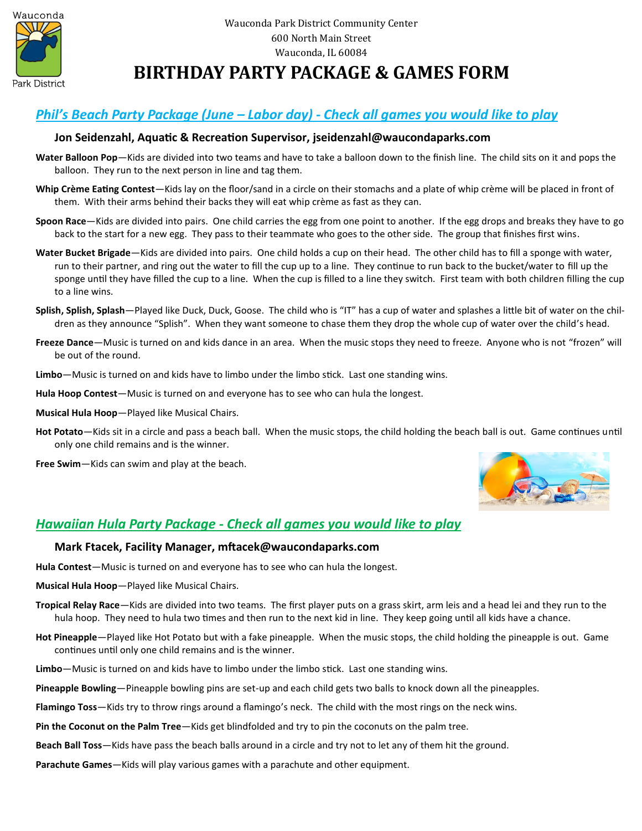

# **BIRTHDAY PARTY PACKAGE & GAMES FORM**

# *Phil's Beach Party Package (June – Labor day) - Check all games you would like to play*

#### **Jon Seidenzahl, Aquatic & Recreation Supervisor, jseidenzahl@waucondaparks.com**

- **Water Balloon Pop**—Kids are divided into two teams and have to take a balloon down to the finish line. The child sits on it and pops the balloon. They run to the next person in line and tag them.
- **Whip Crème Eating Contest**—Kids lay on the floor/sand in a circle on their stomachs and a plate of whip crème will be placed in front of them. With their arms behind their backs they will eat whip crème as fast as they can.
- **Spoon Race**—Kids are divided into pairs. One child carries the egg from one point to another. If the egg drops and breaks they have to go back to the start for a new egg. They pass to their teammate who goes to the other side. The group that finishes first wins.
- **Water Bucket Brigade**—Kids are divided into pairs. One child holds a cup on their head. The other child has to fill a sponge with water, run to their partner, and ring out the water to fill the cup up to a line. They continue to run back to the bucket/water to fill up the sponge until they have filled the cup to a line. When the cup is filled to a line they switch. First team with both children filling the cup to a line wins.
- **Splish, Splish, Splash**—Played like Duck, Duck, Goose. The child who is "IT" has a cup of water and splashes a little bit of water on the children as they announce "Splish". When they want someone to chase them they drop the whole cup of water over the child's head.
- **Freeze Dance**—Music is turned on and kids dance in an area. When the music stops they need to freeze. Anyone who is not "frozen" will be out of the round.
- **Limbo**—Music is turned on and kids have to limbo under the limbo stick. Last one standing wins.
- **Hula Hoop Contest**—Music is turned on and everyone has to see who can hula the longest.
- **Musical Hula Hoop**—Played like Musical Chairs.
- **Hot Potato**—Kids sit in a circle and pass a beach ball. When the music stops, the child holding the beach ball is out. Game continues until only one child remains and is the winner.
- **Free Swim**—Kids can swim and play at the beach.



# *Hawaiian Hula Party Package - Check all games you would like to play*

#### **Mark Ftacek, Facility Manager, mftacek@waucondaparks.com**

- **Hula Contest**—Music is turned on and everyone has to see who can hula the longest.
- **Musical Hula Hoop**—Played like Musical Chairs.
- **Tropical Relay Race**—Kids are divided into two teams. The first player puts on a grass skirt, arm leis and a head lei and they run to the hula hoop. They need to hula two times and then run to the next kid in line. They keep going until all kids have a chance.
- **Hot Pineapple**—Played like Hot Potato but with a fake pineapple. When the music stops, the child holding the pineapple is out. Game continues until only one child remains and is the winner.
- **Limbo**—Music is turned on and kids have to limbo under the limbo stick. Last one standing wins.
- **Pineapple Bowling**—Pineapple bowling pins are set-up and each child gets two balls to knock down all the pineapples.
- **Flamingo Toss**—Kids try to throw rings around a flamingo's neck. The child with the most rings on the neck wins.
- **Pin the Coconut on the Palm Tree**—Kids get blindfolded and try to pin the coconuts on the palm tree.
- **Beach Ball Toss**—Kids have pass the beach balls around in a circle and try not to let any of them hit the ground.
- **Parachute Games**—Kids will play various games with a parachute and other equipment.